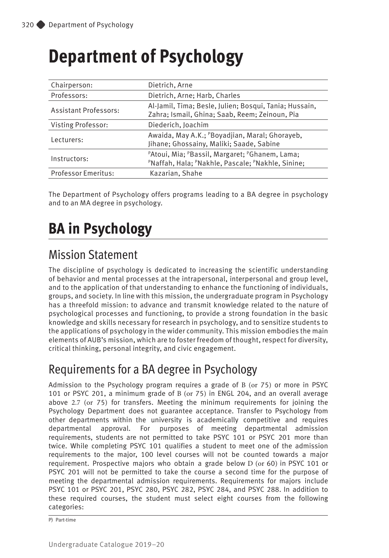# **Department of Psychology**

| Chairperson:                 | Dietrich, Arne                                                                                           |  |  |  |
|------------------------------|----------------------------------------------------------------------------------------------------------|--|--|--|
| Professors:                  | Dietrich, Arne; Harb, Charles                                                                            |  |  |  |
| <b>Assistant Professors:</b> | Al-Jamil, Tima; Besle, Julien; Bosqui, Tania; Hussain,<br>Zahra; Ismail, Ghina; Saab, Reem; Zeinoun, Pia |  |  |  |
| <b>Visting Professor:</b>    | Diederich, Joachim                                                                                       |  |  |  |
| Lecturers:                   | Awaida, May A.K.; PBoyadjian, Maral; Ghorayeb,<br>Jihane; Ghossainy, Maliki; Saade, Sabine               |  |  |  |
| Instructors:                 | PAtoui, Mia; PBassil, Margaret; PGhanem, Lama;<br>PNaffah, Hala; PNakhle, Pascale; PNakhle, Sinine;      |  |  |  |
| Professor Emeritus:          | Kazarian, Shahe                                                                                          |  |  |  |
|                              |                                                                                                          |  |  |  |

The Department of Psychology offers programs leading to a BA degree in psychology and to an MA degree in psychology.

# **BA in Psychology**

## Mission Statement

The discipline of psychology is dedicated to increasing the scientific understanding of behavior and mental processes at the intrapersonal, interpersonal and group level, and to the application of that understanding to enhance the functioning of individuals, groups, and society. In line with this mission, the undergraduate program in Psychology has a threefold mission: to advance and transmit knowledge related to the nature of psychological processes and functioning, to provide a strong foundation in the basic knowledge and skills necessary for research in psychology, and to sensitize students to the applications of psychology in the wider community. This mission embodies the main elements of AUB's mission, which are to foster freedom of thought, respect for diversity, critical thinking, personal integrity, and civic engagement.

## Requirements for a BA degree in Psychology

Admission to the Psychology program requires a grade of B (or 75) or more in PSYC 101 or PSYC 201, a minimum grade of B (or 75) in ENGL 204, and an overall average above 2.7 (or 75) for transfers. Meeting the minimum requirements for joining the Psychology Department does not guarantee acceptance. Transfer to Psychology from other departments within the university is academically competitive and requires departmental approval. For purposes of meeting departmental admission requirements, students are not permitted to take PSYC 101 or PSYC 201 more than twice. While completing PSYC 101 qualifies a student to meet one of the admission requirements to the major, 100 level courses will not be counted towards a major requirement. Prospective majors who obtain a grade below D (or 60) in PSYC 101 or PSYC 201 will not be permitted to take the course a second time for the purpose of meeting the departmental admission requirements. Requirements for majors include PSYC 101 or PSYC 201, PSYC 280, PSYC 282, PSYC 284, and PSYC 288. In addition to these required courses, the student must select eight courses from the following categories:

P) Part-time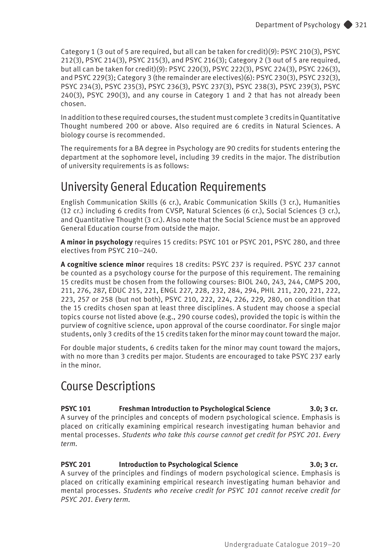Category 1 (3 out of 5 are required, but all can be taken for credit)(9): PSYC 210(3), PSYC 212(3), PSYC 214(3), PSYC 215(3), and PSYC 216(3); Category 2 (3 out of 5 are required, but all can be taken for credit)(9): PSYC 220(3), PSYC 222(3), PSYC 224(3), PSYC 226(3), and PSYC 229(3); Category 3 (the remainder are electives)(6): PSYC 230(3), PSYC 232(3), PSYC 234(3), PSYC 235(3), PSYC 236(3), PSYC 237(3), PSYC 238(3), PSYC 239(3), PSYC 240(3), PSYC 290(3), and any course in Category 1 and 2 that has not already been chosen.

In addition to these required courses, the student must complete 3 credits in Quantitative Thought numbered 200 or above. Also required are 6 credits in Natural Sciences. A biology course is recommended.

The requirements for a BA degree in Psychology are 90 credits for students entering the department at the sophomore level, including 39 credits in the major. The distribution of university requirements is as follows:

## University General Education Requirements

English Communication Skills (6 cr.), Arabic Communication Skills (3 cr.), Humanities (12 cr.) including 6 credits from CVSP, Natural Sciences (6 cr.), Social Sciences (3 cr.), and Quantitative Thought (3 cr.). Also note that the Social Science must be an approved General Education course from outside the major.

**A minor in psychology** requires 15 credits: PSYC 101 or PSYC 201, PSYC 280, and three electives from PSYC 210–240.

**A cognitive science minor** requires 18 credits: PSYC 237 is required. PSYC 237 cannot be counted as a psychology course for the purpose of this requirement. The remaining 15 credits must be chosen from the following courses: BIOL 240, 243, 244, CMPS 200, 211, 276, 287, EDUC 215, 221, ENGL 227, 228, 232, 284, 294, PHIL 211, 220, 221, 222, 223, 257 or 258 (but not both), PSYC 210, 222, 224, 226, 229, 280, on condition that the 15 credits chosen span at least three disciplines. A student may choose a special topics course not listed above (e.g., 290 course codes), provided the topic is within the purview of cognitive science, upon approval of the course coordinator. For single major students, only 3 credits of the 15 credits taken for the minor may count toward the major.

For double major students, 6 credits taken for the minor may count toward the majors, with no more than 3 credits per major. Students are encouraged to take PSYC 237 early in the minor.

## Course Descriptions

#### **PSYC 101** Freshman Introduction to Psychological Science 3.0; 3 cr. A survey of the principles and concepts of modern psychological science. Emphasis is

placed on critically examining empirical research investigating human behavior and mental processes. *Students who take this course cannot get credit for PSYC 201. Every term.* 

## **PSYC 201 Introduction to Psychological Science 3.0; 3 cr.**

A survey of the principles and findings of modern psychological science. Emphasis is placed on critically examining empirical research investigating human behavior and mental processes. *Students who receive credit for PSYC 101 cannot receive credit for PSYC 201. Every term.*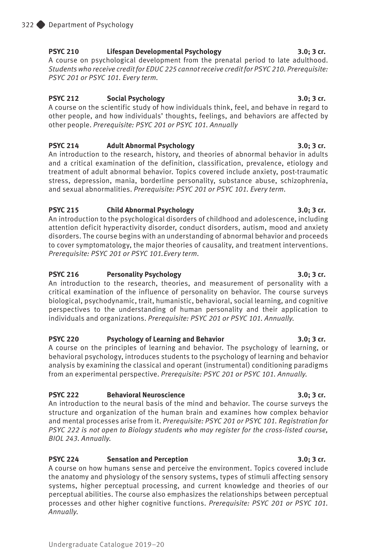### **PSYC 210 Lifespan Developmental Psychology 3.0; 3 cr.**

A course on psychological development from the prenatal period to late adulthood. *Students who receive credit for EDUC 225 cannot receive credit for PSYC 210. Prerequisite: PSYC 201 or PSYC 101. Every term.* 

### **PSYC 212 Social Psychology 3.0; 3 cr.**

A course on the scientific study of how individuals think, feel, and behave in regard to other people, and how individuals' thoughts, feelings, and behaviors are affected by other people. *Prerequisite: PSYC 201 or PSYC 101. Annually* 

### **PSYC 214 Adult Abnormal Psychology 3.0; 3 cr.**

An introduction to the research, history, and theories of abnormal behavior in adults and a critical examination of the definition, classification, prevalence, etiology and treatment of adult abnormal behavior. Topics covered include anxiety, post-traumatic stress, depression, mania, borderline personality, substance abuse, schizophrenia, and sexual abnormalities. *Prerequisite: PSYC 201 or PSYC 101. Every term.*

### **PSYC 215 Child Abnormal Psychology 3.0; 3 cr.**

An introduction to the psychological disorders of childhood and adolescence, including attention deficit hyperactivity disorder, conduct disorders, autism, mood and anxiety disorders. The course begins with an understanding of abnormal behavior and proceeds to cover symptomatology, the major theories of causality, and treatment interventions. *Prerequisite: PSYC 201 or PSYC 101.Every term.*

### **PSYC 216 Personality Psychology 3.0; 3 cr.**

An introduction to the research, theories, and measurement of personality with a critical examination of the influence of personality on behavior. The course surveys biological, psychodynamic, trait, humanistic, behavioral, social learning, and cognitive perspectives to the understanding of human personality and their application to individuals and organizations. *Prerequisite: PSYC 201 or PSYC 101. Annually.* 

### **PSYC 220 Psychology of Learning and Behavior 3.0; 3 cr.**

A course on the principles of learning and behavior. The psychology of learning, or behavioral psychology, introduces students to the psychology of learning and behavior analysis by examining the classical and operant (instrumental) conditioning paradigms from an experimental perspective. *Prerequisite: PSYC 201 or PSYC 101. Annually.*

### **PSYC 222 Behavioral Neuroscience 3.0; 3 cr.**

An introduction to the neural basis of the mind and behavior. The course surveys the structure and organization of the human brain and examines how complex behavior and mental processes arise from it. *Prerequisite: PSYC 201 or PSYC 101. Registration for PSYC 222 is not open to Biology students who may register for the cross-listed course, BIOL 243. Annually.* 

### PSYC 224 Sensation and Perception 3.0; 3 cr.

A course on how humans sense and perceive the environment. Topics covered include the anatomy and physiology of the sensory systems, types of stimuli affecting sensory systems, higher perceptual processing, and current knowledge and theories of our perceptual abilities. The course also emphasizes the relationships between perceptual processes and other higher cognitive functions. *Prerequisite: PSYC 201 or PSYC 101. Annually.*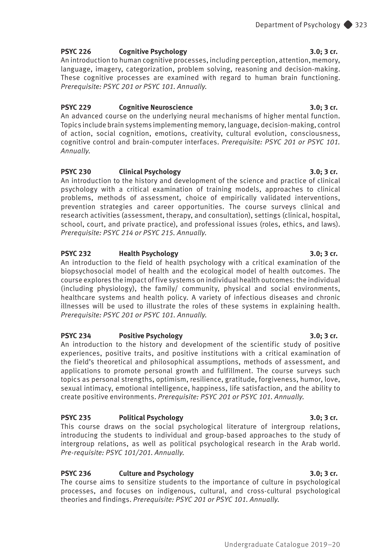#### **PSYC 226 Cognitive Psychology 3.0; 3 cr.**

An introduction to human cognitive processes, including perception, attention, memory, language, imagery, categorization, problem solving, reasoning and decision-making. These cognitive processes are examined with regard to human brain functioning. *Prerequisite: PSYC 201 or PSYC 101. Annually.*

#### **PSYC 229 Cognitive Neuroscience 3.0; 3 cr.**

An advanced course on the underlying neural mechanisms of higher mental function. Topics include brain systems implementing memory, language, decision-making, control of action, social cognition, emotions, creativity, cultural evolution, consciousness, cognitive control and brain-computer interfaces. *Prerequisite: PSYC 201 or PSYC 101. Annually.*

#### **PSYC 230 Clinical Psychology 3.0; 3 cr.**

An introduction to the history and development of the science and practice of clinical psychology with a critical examination of training models, approaches to clinical problems, methods of assessment, choice of empirically validated interventions, prevention strategies and career opportunities. The course surveys clinical and research activities (assessment, therapy, and consultation), settings (clinical, hospital, school, court, and private practice), and professional issues (roles, ethics, and laws). *Prerequisite: PSYC 214 or PSYC 215. Annually.*

#### **PSYC 232 Health Psychology 3.0; 3 cr.**

An introduction to the field of health psychology with a critical examination of the biopsychosocial model of health and the ecological model of health outcomes. The course explores the impact of five systems on individual health outcomes: the individual (including physiology), the family/ community, physical and social environments, healthcare systems and health policy. A variety of infectious diseases and chronic illnesses will be used to illustrate the roles of these systems in explaining health. *Prerequisite: PSYC 201 or PSYC 101. Annually.*

#### **PSYC 234 Positive Psychology 3.0; 3 cr.**

An introduction to the history and development of the scientific study of positive experiences, positive traits, and positive institutions with a critical examination of the field's theoretical and philosophical assumptions, methods of assessment, and applications to promote personal growth and fulfillment. The course surveys such topics as personal strengths, optimism, resilience, gratitude, forgiveness, humor, love, sexual intimacy, emotional intelligence, happiness, life satisfaction, and the ability to create positive environments. *Prerequisite: PSYC 201 or PSYC 101. Annually.*

#### **PSYC 235 Political Psychology 3.0; 3 cr.**

This course draws on the social psychological literature of intergroup relations, introducing the students to individual and group-based approaches to the study of intergroup relations, as well as political psychological research in the Arab world. *Pre-requisite: PSYC 101/201. Annually.* 

#### **PSYC 236 Culture and Psychology 3.0; 3 cr.**

The course aims to sensitize students to the importance of culture in psychological processes, and focuses on indigenous, cultural, and cross-cultural psychological theories and findings. *Prerequisite: PSYC 201 or PSYC 101. Annually.*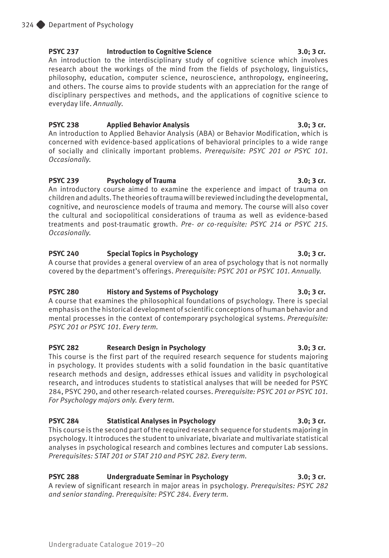### **PSYC 237 Introduction to Cognitive Science 3.0; 3 cr.**

An introduction to the interdisciplinary study of cognitive science which involves research about the workings of the mind from the fields of psychology, linguistics, philosophy, education, computer science, neuroscience, anthropology, engineering, and others. The course aims to provide students with an appreciation for the range of disciplinary perspectives and methods, and the applications of cognitive science to everyday life. *Annually*.

### **PSYC 238 Applied Behavior Analysis 3.0; 3 cr.**

An introduction to Applied Behavior Analysis (ABA) or Behavior Modification, which is concerned with evidence-based applications of behavioral principles to a wide range of socially and clinically important problems. *Prerequisite: PSYC 201 or PSYC 101. Occasionally.* 

### PSYC 239 Psychology of Trauma 3.0; 3 cr.

An introductory course aimed to examine the experience and impact of trauma on children and adults. The theories of trauma will be reviewed including the developmental, cognitive, and neuroscience models of trauma and memory. The course will also cover the cultural and sociopolitical considerations of trauma as well as evidence-based treatments and post-traumatic growth. *Pre- or co-requisite: PSYC 214 or PSYC 215. Occasionally.* 

### **PSYC 240 Special Topics in Psychology 3.0; 3 cr.**

A course that provides a general overview of an area of psychology that is not normally covered by the department's offerings. *Prerequisite: PSYC 201 or PSYC 101. Annually.*

### **PSYC 280 History and Systems of Psychology 3.0; 3 cr.**

A course that examines the philosophical foundations of psychology. There is special emphasis on the historical development of scientific conceptions of human behavior and mental processes in the context of contemporary psychological systems. *Prerequisite: PSYC 201 or PSYC 101. Every term.* 

### **PSYC 282 Research Design in Psychology 3.0; 3 cr.**

This course is the first part of the required research sequence for students majoring in psychology. It provides students with a solid foundation in the basic quantitative research methods and design, addresses ethical issues and validity in psychological research, and introduces students to statistical analyses that will be needed for PSYC 284, PSYC 290, and other research-related courses. *Prerequisite: PSYC 201 or PSYC 101. For Psychology majors only. Every term.*

### **PSYC 284 Statistical Analyses in Psychology 3.0; 3 cr.**

This course is the second part of the required research sequence for students majoring in psychology. It introduces the student to univariate, bivariate and multivariate statistical analyses in psychological research and combines lectures and computer Lab sessions. *Prerequisites: STAT 201 or STAT 210 and PSYC 282. Every term.*

### **PSYC 288 Undergraduate Seminar in Psychology 3.0; 3 cr.**

A review of significant research in major areas in psychology. *Prerequisites: PSYC 282 and senior standing. Prerequisite: PSYC 284. Every term.*